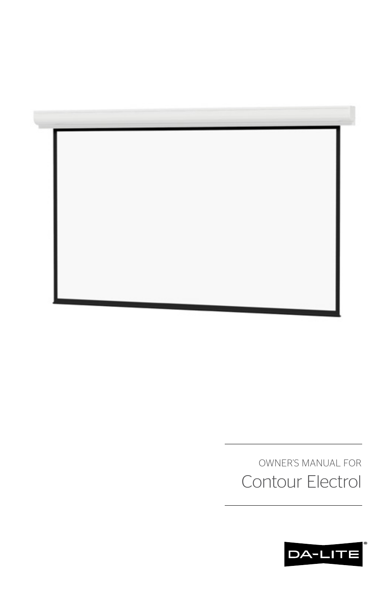

OWNER'S MANUAL FOR Contour Electrol

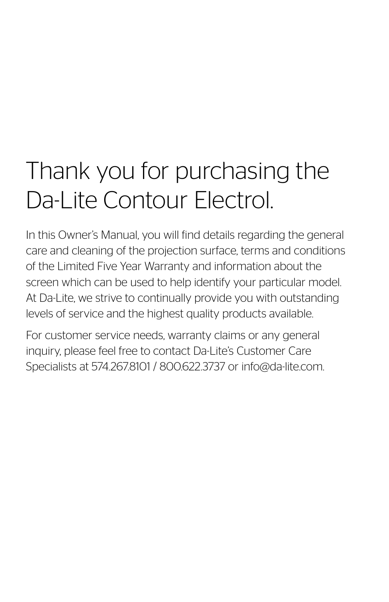# Thank you for purchasing the Da-Lite Contour Electrol.

In this Owner's Manual, you will find details regarding the general care and cleaning of the projection surface, terms and conditions of the Limited Five Year Warranty and information about the screen which can be used to help identify your particular model. At Da-Lite, we strive to continually provide you with outstanding levels of service and the highest quality products available.

For customer service needs, warranty claims or any general inquiry, please feel free to contact Da-Lite's Customer Care Specialists at 574.267.8101 / 800.622.3737 or info@da-lite.com.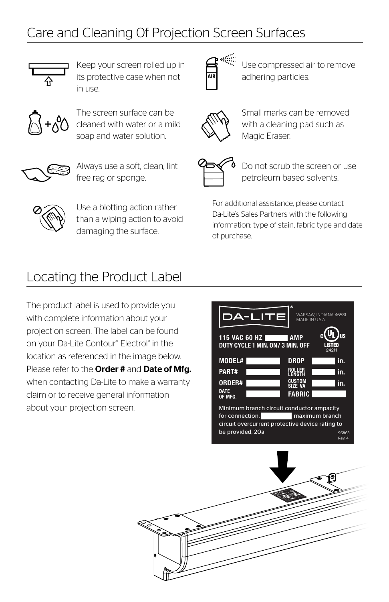# Care and Cleaning 0f Projection Screen Surfaces



Keep your screen rolled up in its protective case when not  $in$   $115P$ 



The screen surface can be cleaned with water or a mild soap and water solution.



Always use a soft, clean, lint free rag or sponge.



Use compressed air to remove adhering particles.



Small marks can be removed with a cleaning pad such as Magic Eraser.



Do not scrub the screen or use petroleum based solvents.

Use a blotting action rather than a wiping action to avoid damaging the surface.

For additional assistance, please contact Da-Lite's Sales Partners with the following information: type of stain, fabric type and date of purchase.

## Locating the Product Label

The product label is used to provide you with complete information about your projection screen. The label can be found on your Da-Lite Contour® Electrol® in the location as referenced in the image below. Please refer to the **Order #** and **Date of Mfg.** when contacting Da-Lite to make a warranty claim or to receive general information about your projection screen.